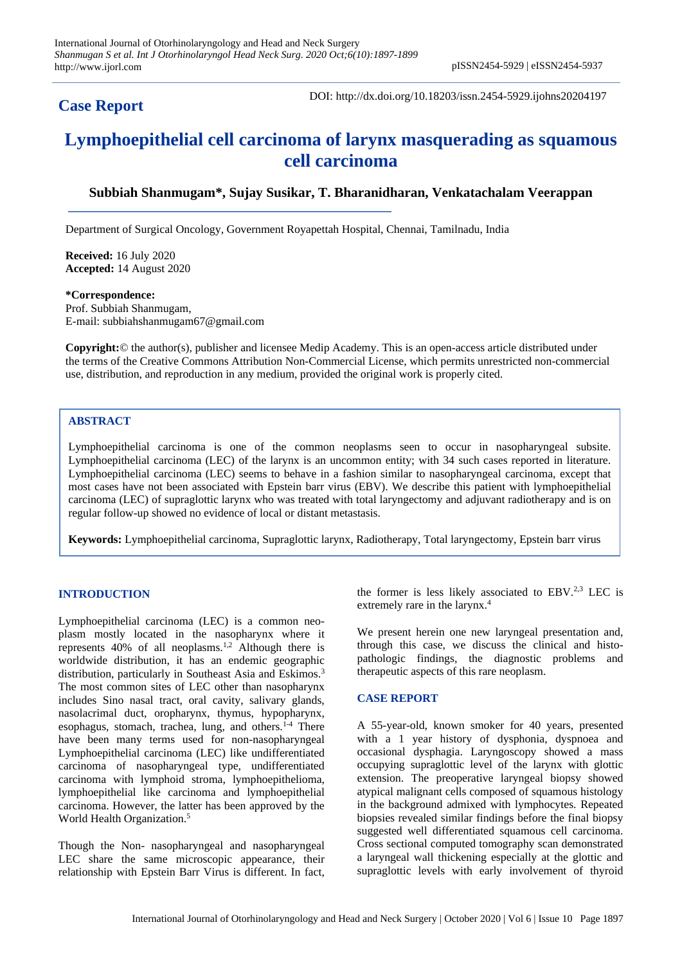# **Case Report**

DOI: http://dx.doi.org/10.18203/issn.2454-5929.ijohns20204197

# **Lymphoepithelial cell carcinoma of larynx masquerading as squamous cell carcinoma**

# **Subbiah Shanmugam\*, Sujay Susikar, T. Bharanidharan, Venkatachalam Veerappan**

Department of Surgical Oncology, Government Royapettah Hospital, Chennai, Tamilnadu, India

**Received:** 16 July 2020 **Accepted:** 14 August 2020

**\*Correspondence:** Prof. Subbiah Shanmugam, E-mail: subbiahshanmugam67@gmail.com

**Copyright:**© the author(s), publisher and licensee Medip Academy. This is an open-access article distributed under the terms of the Creative Commons Attribution Non-Commercial License, which permits unrestricted non-commercial use, distribution, and reproduction in any medium, provided the original work is properly cited.

## **ABSTRACT**

Lymphoepithelial carcinoma is one of the common neoplasms seen to occur in nasopharyngeal subsite. Lymphoepithelial carcinoma (LEC) of the larynx is an uncommon entity; with 34 such cases reported in literature. Lymphoepithelial carcinoma (LEC) seems to behave in a fashion similar to nasopharyngeal carcinoma, except that most cases have not been associated with Epstein barr virus (EBV). We describe this patient with lymphoepithelial carcinoma (LEC) of supraglottic larynx who was treated with total laryngectomy and adjuvant radiotherapy and is on regular follow-up showed no evidence of local or distant metastasis.

**Keywords:** Lymphoepithelial carcinoma, Supraglottic larynx, Radiotherapy, Total laryngectomy, Epstein barr virus

## **INTRODUCTION**

Lymphoepithelial carcinoma (LEC) is a common neoplasm mostly located in the nasopharynx where it represents 40% of all neoplasms.1,2 Although there is worldwide distribution, it has an endemic geographic distribution, particularly in Southeast Asia and Eskimos.<sup>3</sup> The most common sites of LEC other than nasopharynx includes Sino nasal tract, oral cavity, salivary glands, nasolacrimal duct, oropharynx, thymus, hypopharynx, esophagus, stomach, trachea, lung, and others.<sup>14</sup> There have been many terms used for non-nasopharyngeal Lymphoepithelial carcinoma (LEC) like undifferentiated carcinoma of nasopharyngeal type, undifferentiated carcinoma with lymphoid stroma, lymphoepithelioma, lymphoepithelial like carcinoma and lymphoepithelial carcinoma. However, the latter has been approved by the World Health Organization.<sup>5</sup>

Though the Non- nasopharyngeal and nasopharyngeal LEC share the same microscopic appearance, their relationship with Epstein Barr Virus is different. In fact, the former is less likely associated to  $EBV<sup>2,3</sup>$  LEC is extremely rare in the larynx.<sup>4</sup>

We present herein one new laryngeal presentation and, through this case, we discuss the clinical and histopathologic findings, the diagnostic problems and therapeutic aspects of this rare neoplasm.

## **CASE REPORT**

A 55-year-old, known smoker for 40 years, presented with a 1 year history of dysphonia, dyspnoea and occasional dysphagia. Laryngoscopy showed a mass occupying supraglottic level of the larynx with glottic extension. The preoperative laryngeal biopsy showed atypical malignant cells composed of squamous histology in the background admixed with lymphocytes. Repeated biopsies revealed similar findings before the final biopsy suggested well differentiated squamous cell carcinoma. Cross sectional computed tomography scan demonstrated a laryngeal wall thickening especially at the glottic and supraglottic levels with early involvement of thyroid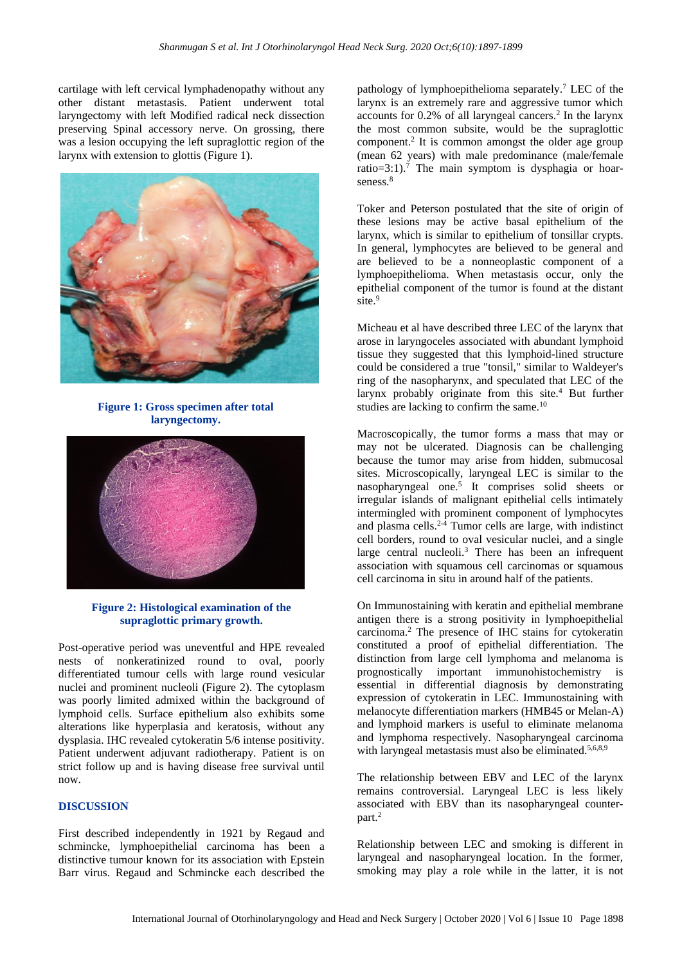cartilage with left cervical lymphadenopathy without any other distant metastasis. Patient underwent total laryngectomy with left Modified radical neck dissection preserving Spinal accessory nerve. On grossing, there was a lesion occupying the left supraglottic region of the larynx with extension to glottis (Figure 1).



**Figure 1: Gross specimen after total laryngectomy.**



## **Figure 2: Histological examination of the supraglottic primary growth.**

Post-operative period was uneventful and HPE revealed nests of nonkeratinized round to oval, poorly differentiated tumour cells with large round vesicular nuclei and prominent nucleoli (Figure 2). The cytoplasm was poorly limited admixed within the background of lymphoid cells. Surface epithelium also exhibits some alterations like hyperplasia and keratosis, without any dysplasia. IHC revealed cytokeratin 5/6 intense positivity. Patient underwent adjuvant radiotherapy. Patient is on strict follow up and is having disease free survival until now.

#### **DISCUSSION**

First described independently in 1921 by Regaud and schmincke, lymphoepithelial carcinoma has been a distinctive tumour known for its association with Epstein Barr virus. Regaud and Schmincke each described the pathology of lymphoepithelioma separately.<sup>7</sup> LEC of the larynx is an extremely rare and aggressive tumor which accounts for 0.2% of all laryngeal cancers.<sup>2</sup> In the larynx the most common subsite, would be the supraglottic component.<sup>2</sup> It is common amongst the older age group (mean 62 years) with male predominance (male/female ratio=3:1).<sup>7</sup> The main symptom is dysphagia or hoarseness.<sup>8</sup>

Toker and Peterson postulated that the site of origin of these lesions may be active basal epithelium of the larynx, which is similar to epithelium of tonsillar crypts. In general, lymphocytes are believed to be general and are believed to be a nonneoplastic component of a lymphoepithelioma. When metastasis occur, only the epithelial component of the tumor is found at the distant site.<sup>9</sup>

Micheau et al have described three LEC of the larynx that arose in laryngoceles associated with abundant lymphoid tissue they suggested that this lymphoid-lined structure could be considered a true "tonsil," similar to Waldeyer's ring of the nasopharynx, and speculated that LEC of the larynx probably originate from this site.<sup>4</sup> But further studies are lacking to confirm the same.<sup>10</sup>

Macroscopically, the tumor forms a mass that may or may not be ulcerated. Diagnosis can be challenging because the tumor may arise from hidden, submucosal sites. Microscopically, laryngeal LEC is similar to the nasopharyngeal one.<sup>5</sup> It comprises solid sheets or irregular islands of malignant epithelial cells intimately intermingled with prominent component of lymphocytes and plasma cells. $2-4$  Tumor cells are large, with indistinct cell borders, round to oval vesicular nuclei, and a single large central nucleoli.<sup>3</sup> There has been an infrequent association with squamous cell carcinomas or squamous cell carcinoma in situ in around half of the patients.

On Immunostaining with keratin and epithelial membrane antigen there is a strong positivity in lymphoepithelial carcinoma.<sup>2</sup> The presence of IHC stains for cytokeratin constituted a proof of epithelial differentiation. The distinction from large cell lymphoma and melanoma is prognostically important immunohistochemistry is essential in differential diagnosis by demonstrating expression of cytokeratin in LEC. Immunostaining with melanocyte differentiation markers (HMB45 or Melan-A) and lymphoid markers is useful to eliminate melanoma and lymphoma respectively. Nasopharyngeal carcinoma with laryngeal metastasis must also be eliminated.<sup>5,6,8,9</sup>

The relationship between EBV and LEC of the larynx remains controversial. Laryngeal LEC is less likely associated with EBV than its nasopharyngeal counterpart.<sup>2</sup>

Relationship between LEC and smoking is different in laryngeal and nasopharyngeal location. In the former, smoking may play a role while in the latter, it is not